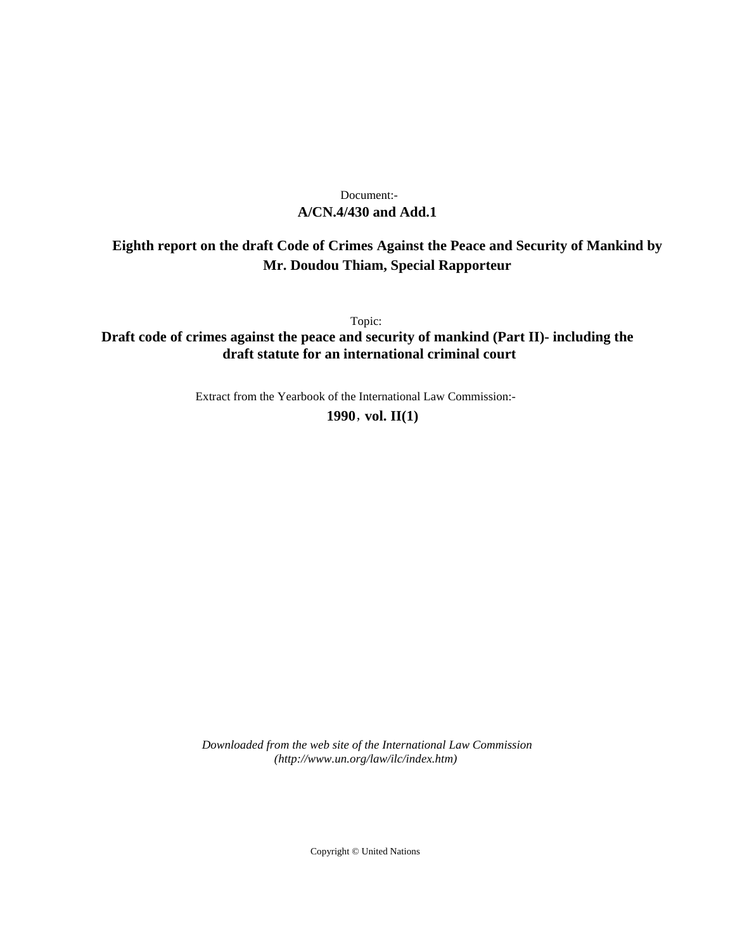# **A/CN.4/430 and Add.1** Document:-

# **Eighth report on the draft Code of Crimes Against the Peace and Security of Mankind by Mr. Doudou Thiam, Special Rapporteur**

Topic:

**Draft code of crimes against the peace and security of mankind (Part II)- including the draft statute for an international criminal court**

Extract from the Yearbook of the International Law Commission:-

**1990** , **vol. II(1)**

*Downloaded from the web site of the International Law Commission (http://www.un.org/law/ilc/index.htm)*

Copyright © United Nations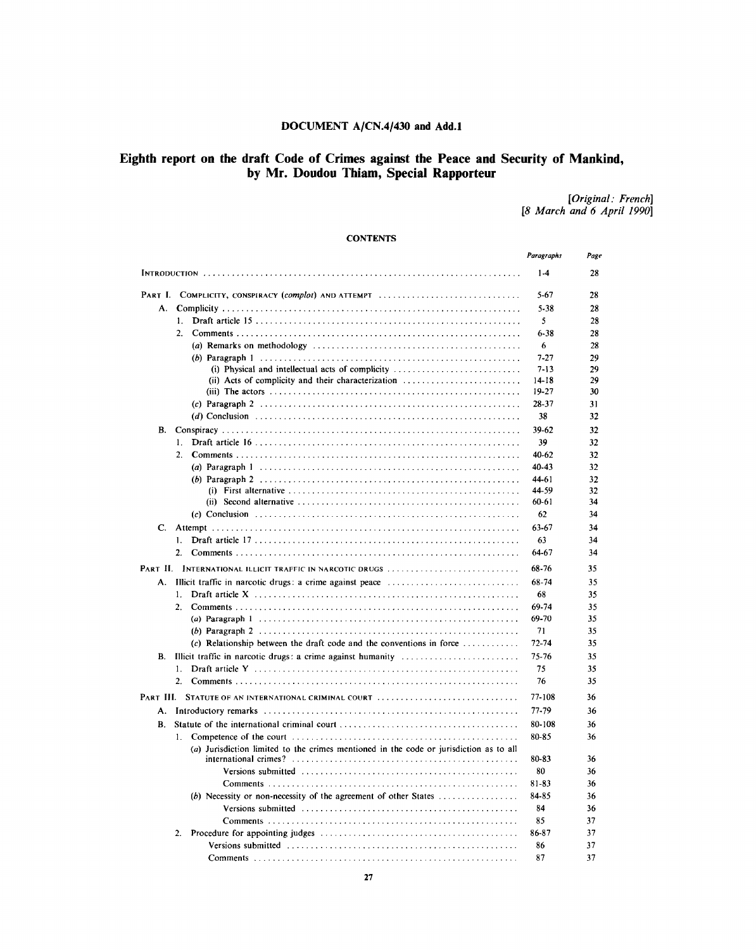# **DOCUMENT A/CN.4/430 and Add.l**

# **Eighth report on the draft Code of Crimes against the Peace and Security of Mankind, by Mr. Doudou Thiam, Special Rapporteur**

*[Original: French] [8 March and 6 April 1990]*

# **CONTENTS**

|                                                                                                                                                                                                                               | Paragraphs | Page |
|-------------------------------------------------------------------------------------------------------------------------------------------------------------------------------------------------------------------------------|------------|------|
|                                                                                                                                                                                                                               | $1-4$      | 28   |
| Part I.<br>COMPLICITY, CONSPIRACY (complot) AND ATTEMPT                                                                                                                                                                       | 5-67       | 28   |
| А.                                                                                                                                                                                                                            | 5-38       | 28   |
| 1.                                                                                                                                                                                                                            | 5          | 28   |
| 2 <sub>1</sub>                                                                                                                                                                                                                | $6 - 38$   | 28   |
|                                                                                                                                                                                                                               | 6          | 28   |
|                                                                                                                                                                                                                               | $7 - 27$   | 29   |
| (i) Physical and intellectual acts of complicity $\dots \dots \dots \dots \dots \dots \dots \dots$                                                                                                                            | $7 - 13$   | 29   |
| (ii) Acts of complicity and their characterization $\dots\dots\dots\dots\dots\dots\dots\dots\dots$                                                                                                                            | $14 - 18$  | 29   |
|                                                                                                                                                                                                                               | 19-27      | 30   |
|                                                                                                                                                                                                                               | 28-37      | 31   |
|                                                                                                                                                                                                                               | 38         | 32   |
| В.                                                                                                                                                                                                                            | 39-62      | 32   |
| 1.                                                                                                                                                                                                                            | 39         | 32   |
| 2.                                                                                                                                                                                                                            | 40-62      | 32   |
|                                                                                                                                                                                                                               | 40-43      | 32   |
|                                                                                                                                                                                                                               | 44-61      | 32   |
|                                                                                                                                                                                                                               | 44-59      | 32   |
|                                                                                                                                                                                                                               | 60-61      | 34   |
|                                                                                                                                                                                                                               | 62         | 34   |
| C.                                                                                                                                                                                                                            | 63-67      | 34   |
| 1.                                                                                                                                                                                                                            | 63         | 34   |
| 2.                                                                                                                                                                                                                            | 64-67      | 34   |
| PART II. INTERNATIONAL ILLICIT TRAFFIC IN NARCOTIC DRUGS                                                                                                                                                                      | 68-76      | 35   |
| Illicit traffic in narcotic drugs: a crime against peace $\ldots \ldots \ldots \ldots \ldots \ldots \ldots \ldots$<br>А.                                                                                                      | 68-74      | 35   |
| 1.                                                                                                                                                                                                                            | 68         | 35   |
| 2.                                                                                                                                                                                                                            | 69-74      | 35   |
|                                                                                                                                                                                                                               | 69-70      | 35   |
|                                                                                                                                                                                                                               | 71         | 35   |
| (c) Relationship between the draft code and the conventions in force $\dots \dots \dots$                                                                                                                                      | 72-74      | 35   |
| В.                                                                                                                                                                                                                            | 75-76      | 35   |
| 1.                                                                                                                                                                                                                            | 75         | 35   |
| 2.                                                                                                                                                                                                                            | 76         | 35   |
| PART III. STATUTE OF AN INTERNATIONAL CRIMINAL COURT                                                                                                                                                                          | 77-108     | 36   |
| А.                                                                                                                                                                                                                            | 77-79      | 36   |
| В.                                                                                                                                                                                                                            | 80-108     | 36   |
| 1.                                                                                                                                                                                                                            | 80-85      | 36   |
| (a) Jurisdiction limited to the crimes mentioned in the code or jurisdiction as to all                                                                                                                                        |            |      |
|                                                                                                                                                                                                                               | 80-83      | 36   |
|                                                                                                                                                                                                                               | 80         | 36   |
|                                                                                                                                                                                                                               | 81-83      | 36   |
| (b) Necessity or non-necessity of the agreement of other States $\dots\dots\dots\dots\dots\dots$                                                                                                                              | 84-85      | 36   |
|                                                                                                                                                                                                                               | 84         | 36   |
|                                                                                                                                                                                                                               | 85         | 37   |
| 2.                                                                                                                                                                                                                            | 86-87      | 37   |
| Versions submitted (and accommodation of the contract of the version of the version of the version of the version of the version of the version of the version of the version of the version of the version of the version of | 86         | 37   |
|                                                                                                                                                                                                                               | 87         | 37   |
|                                                                                                                                                                                                                               |            |      |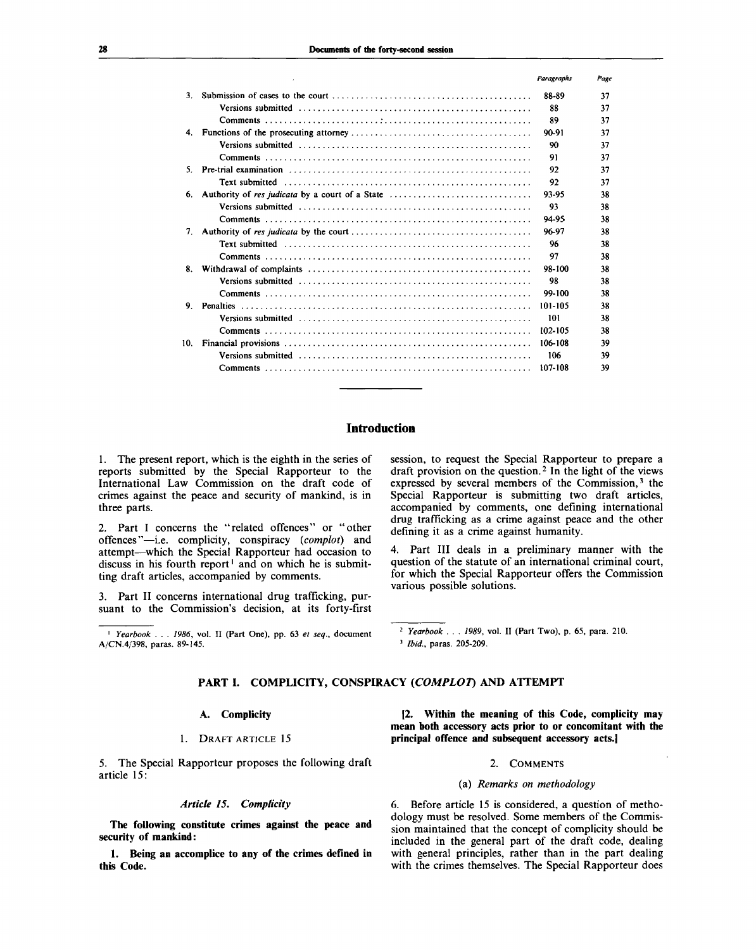|     |                                                 | Paraeraphs | Page |
|-----|-------------------------------------------------|------------|------|
| 3.  |                                                 | 88-89      | 37   |
|     |                                                 | 88         | 37   |
|     |                                                 | 89         | 37   |
| 4.  |                                                 | 90-91      | 37   |
|     |                                                 | 90         | 37   |
|     |                                                 | 91         | 37   |
| 5.  |                                                 | 92         | 37   |
|     | Text submitted                                  | 92         | 37   |
| 6.  | Authority of res judicata by a court of a State | 93-95      | 38   |
|     |                                                 | 93         | 38   |
|     |                                                 | 94-95      | 38   |
| 7.  |                                                 | 96-97      | 38   |
|     |                                                 | 96         | 38   |
|     |                                                 | 97         | 38   |
| 8.  |                                                 | 98-100     | 38   |
|     |                                                 | 98         | 38   |
|     |                                                 | 99-100     | 38   |
| 9.  |                                                 | 101-105    | 38   |
|     |                                                 | 101        | 38   |
|     |                                                 | 102-105    | 38   |
| 10. |                                                 | 106-108    | 39   |
|     |                                                 | 106        | 39   |
|     |                                                 | 107-108    | 39   |

# **Introduction**

1. The present report, which is the eighth in the series of reports submitted by the Special Rapporteur to the International Law Commission on the draft code of crimes against the peace and security of mankind, is in three parts.

2. Part I concerns the "related offences" or "other offences"—i.e. complicity, conspiracy *(complot)* and attempt—which the Special Rapporteur had occasion to discuss in his fourth report<sup>1</sup> and on which he is submitting draft articles, accompanied by comments.

3. Part II concerns international drug trafficking, pursuant to the Commission's decision, at its forty-first

1  *Yearbook . . . 1986,* vol. II (Part One), pp. 63 *et seq.,* document A/CN.4/398, paras. 89-145.

session, to request the Special Rapporteur to prepare a draft provision on the question.<sup>2</sup> In the light of the views expressed by several members of the Commission,<sup>3</sup> the Special Rapporteur is submitting two draft articles, accompanied by comments, one defining international drug trafficking as a crime against peace and the other defining it as a crime against humanity.

4. Part III deals in a preliminary manner with the question of the statute of an international criminal court, for which the Special Rapporteur offers the Commission various possible solutions.

2  *Yearbook . . . 1989,* vol. II (Part Two), p. 65, para. 210. 3  *Ibid.,* paras. 205-209.

# **PART I. COMPLICITY, CONSPIRACY** *(COMPLOT)* **AND ATTEMPT**

## **A. Complicity**

# 1. DRAFT ARTICLE 15

5. The Special Rapporteur proposes the following draft article 15:

## *Article 15. Complicity*

**The following constitute crimes against the peace and security of mankind:**

**1. Being an accomplice to any of the crimes defined in this Code.**

**[2. Within the meaning of this Code, complicity may mean both accessory acts prior to or concomitant with the principal offence and subsequent accessory acts.]**

#### 2. COMMENTS

#### (a) *Remarks on methodology*

6. Before article 15 is considered, a question of methodology must be resolved. Some members of the Commission maintained that the concept of complicity should be included in the general part of the draft code, dealing with general principles, rather than in the part dealing with the crimes themselves. The Special Rapporteur does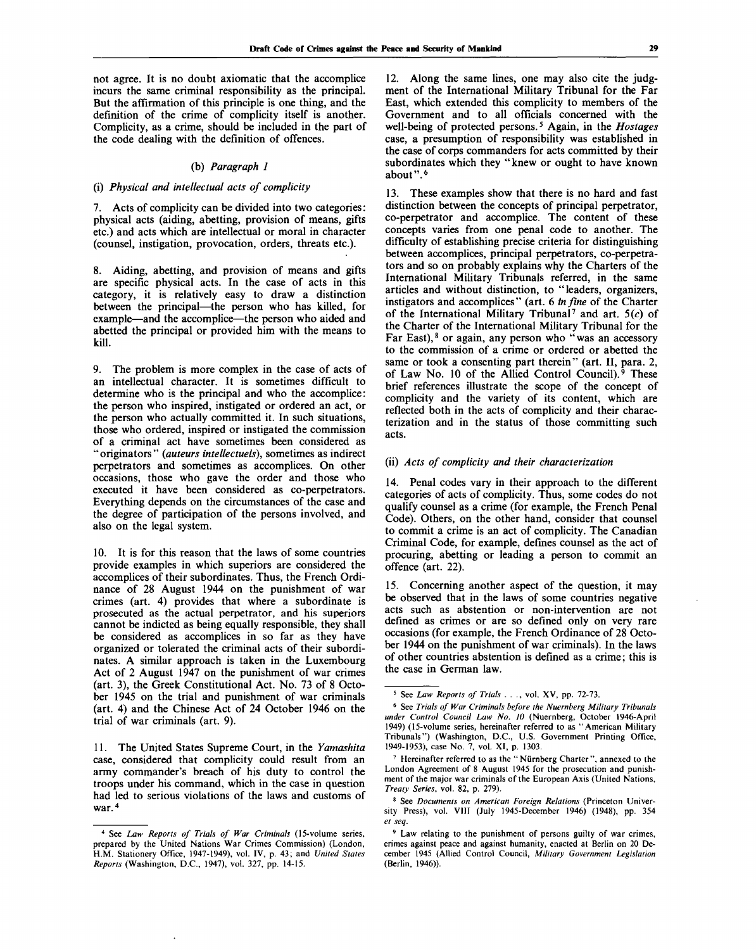not agree. It is no doubt axiomatic that the accomplice incurs the same criminal responsibility as the principal. But the affirmation of this principle is one thing, and the definition of the crime of complicity itself is another. Complicity, as a crime, should be included in the part of the code dealing with the definition of offences.

## (b) *Paragraph 1*

# (i) *Physical and intellectual acts of complicity*

7. Acts of complicity can be divided into two categories: physical acts (aiding, abetting, provision of means, gifts etc.) and acts which are intellectual or moral in character (counsel, instigation, provocation, orders, threats etc.).

8. Aiding, abetting, and provision of means and gifts are specific physical acts. In the case of acts in this category, it is relatively easy to draw a distinction between the principal—the person who has killed, for example—and the accomplice—the person who aided and abetted the principal or provided him with the means to kill.

9. The problem is more complex in the case of acts of an intellectual character. It is sometimes difficult to determine who is the principal and who the accomplice: the person who inspired, instigated or ordered an act, or the person who actually committed it. In such situations, those who ordered, inspired or instigated the commission of a criminal act have sometimes been considered as "originators" *(auteurs intellectuels),* sometimes as indirect perpetrators and sometimes as accomplices. On other occasions, those who gave the order and those who executed it have been considered as co-perpetrators. Everything depends on the circumstances of the case and the degree of participation of the persons involved, and also on the legal system.

10. It is for this reason that the laws of some countries provide examples in which superiors are considered the accomplices of their subordinates. Thus, the French Ordinance of 28 August 1944 on the punishment of war crimes (art. 4) provides that where a subordinate is prosecuted as the actual perpetrator, and his superiors cannot be indicted as being equally responsible, they shall be considered as accomplices in so far as they have organized or tolerated the criminal acts of their subordinates. A similar approach is taken in the Luxembourg Act of 2 August 1947 on the punishment of war crimes (art. 3), the Greek Constitutional Act. No. 73 of 8 October 1945 on the trial and punishment of war criminals (art. 4) and the Chinese Act of 24 October 1946 on the trial of war criminals (art. 9).

11. The United States Supreme Court, in the *Yamashita* case, considered that complicity could result from an army commander's breach of his duty to control the troops under his command, which in the case in question had led to serious violations of the laws and customs of war.<sup>4</sup>

12. Along the same lines, one may also cite the judgment of the International Military Tribunal for the Far East, which extended this complicity to members of the Government and to all officials concerned with the well-being of protected persons.<sup>5</sup> Again, in the *Hostages* case, a presumption of responsibility was established in the case of corps commanders for acts committed by their subordinates which they "knew or ought to have known about".<sup>6</sup>

13. These examples show that there is no hard and fast distinction between the concepts of principal perpetrator, co-perpetrator and accomplice. The content of these concepts varies from one penal code to another. The difficulty of establishing precise criteria for distinguishing between accomplices, principal perpetrators, co-perpetrators and so on probably explains why the Charters of the International Military Tribunals referred, in the same articles and without distinction, to "leaders, organizers, instigators and accomplices" (art. 6 *In fine* of the Charter morgarete and accompance (arrival mystre of the entarted<br>of the International Military Tribunal<sup>7</sup> and art.  $5(c)$  of the Charter of the International Military Tribunal for the Far East),  $\frac{8}{3}$  or again, any person who "was an accessory to the commission of a crime or ordered or abetted the same or took a consenting part therein" (art. II, para. 2, of Law No. 10 of the Allied Control Council).<sup>9</sup> These brief references illustrate the scope of the concept of complicity and the variety of its content, which are reflected both in the acts of complicity and their characterization and in the status of those committing such acts.

## (ii) *Acts of complicity and their characterization*

14. Penal codes vary in their approach to the different categories of acts of complicity. Thus, some codes do not qualify counsel as a crime (for example, the French Penal Code). Others, on the other hand, consider that counsel to commit a crime is an act of complicity. The Canadian Criminal Code, for example, defines counsel as the act of procuring, abetting or leading a person to commit an offence (art. 22).

Concerning another aspect of the question, it may be observed that in the laws of some countries negative acts such as abstention or non-intervention are not defined as crimes or are so defined only on very rare occasions (for example, the French Ordinance of 28 October 1944 on the punishment of war criminals). In the laws of other countries abstention is defined as a crime; this is the case in German law.

<sup>4</sup> See *Law Reports of Trials of War Criminals* (15-volume series, prepared by the United Nations War Crimes Commission) (London, H.M. Stationery Office, 1947-1949), vol. IV, p. 43; and *United States Reports* (Washington, D.C., 1947), vol. 327, pp. 14-15.

<sup>5</sup> See *Law Reports of Trials* . . ., vol. XV, pp. 72-73.

<sup>6</sup> See *Trials of War Criminals before the Nuernberg Military Tribunals under Control Council Law No. 10* (Nuernberg, October 1946-April 1949) (15-volume series, hereinafter referred to as "American Military Tribunals") (Washington, D.C., U.S. Government Printing Office, 1949-1953), case No. 7, vol. XI, p. 1303.

<sup>&</sup>lt;sup>7</sup> Hereinafter referred to as the "Nürnberg Charter", annexed to the London Agreement of 8 August 1945 for the prosecution and punishment of the major war criminals of the European Axis (United Nations, *Treaty Series,* vol. 82, p. 279).

<sup>8</sup> See *Documents on American Foreign Relations* (Princeton University Press), vol. **VIII** (July 1945-December 1946) (1948), pp. 354 *et seq.*

<sup>&</sup>lt;sup>9</sup> Law relating to the punishment of persons guilty of war crimes, crimes against peace and against humanity, enacted at Berlin on 20 December 1945 (Allied Control Council, *Military Government Legislation* (Berlin, 1946)).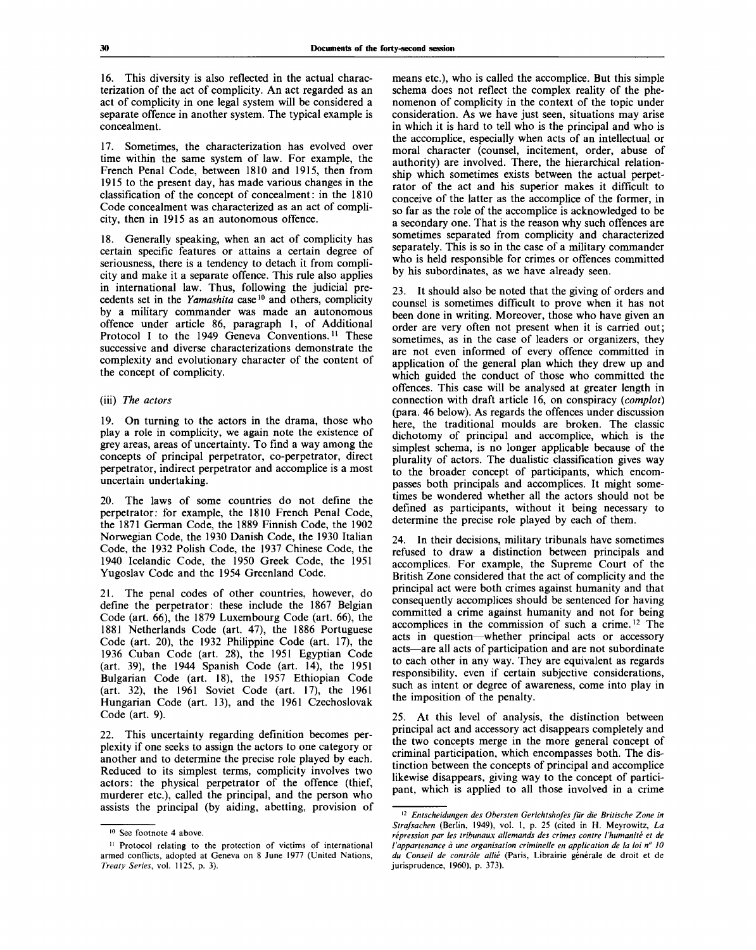16. This diversity is also reflected in the actual characterization of the act of complicity. An act regarded as an act of complicity in one legal system will be considered a separate offence in another system. The typical example is concealment.

17. Sometimes, the characterization has evolved over time within the same system of law. For example, the French Penal Code, between 1810 and 1915, then from 1915 to the present day, has made various changes in the classification of the concept of concealment: in the 1810 Code concealment was characterized as an act of complicity, then in 1915 as an autonomous offence.

18. Generally speaking, when an act of complicity has certain specific features or attains a certain degree of seriousness, there is a tendency to detach it from complicity and make it a separate offence. This rule also applies in international law. Thus, following the judicial precedents set in the Yamashita case<sup>10</sup> and others, complicity by a military commander was made an autonomous offence under article 86, paragraph 1, of Additional Protocol I to the 1949 Geneva Conventions.<sup>11</sup> These successive and diverse characterizations demonstrate the complexity and evolutionary character of the content of the concept of complicity.

# (iii) *The actors*

19. On turning to the actors in the drama, those who play a role in complicity, we again note the existence of grey areas, areas of uncertainty. To find a way among the concepts of principal perpetrator, co-perpetrator, direct perpetrator, indirect perpetrator and accomplice is a most uncertain undertaking.

20. The laws of some countries do not define the perpetrator: for example, the 1810 French Penal Code, the 1871 German Code, the 1889 Finnish Code, the 1902 Norwegian Code, the 1930 Danish Code, the 1930 Italian Code, the 1932 Polish Code, the 1937 Chinese Code, the 1940 Icelandic Code, the 1950 Greek Code, the 1951 Yugoslav Code and the 1954 Greenland Code.

21. The penal codes of other countries, however, do define the perpetrator: these include the 1867 Belgian Code (art. 66), the 1879 Luxembourg Code (art. 66), the 1881 Netherlands Code (art. 47), the 1886 Portuguese Code (art. 20), the 1932 Philippine Code (art. 17), the 1936 Cuban Code (art. 28), the 1951 Egyptian Code (art. 39), the 1944 Spanish Code (art. 14), the 1951 Bulgarian Code (art. 18), the 1957 Ethiopian Code (art. 32), the 1961 Soviet Code (art. 17), the 1961 Hungarian Code (art. 13), and the 1961 Czechoslovak Code (art. 9).

22. This uncertainty regarding definition becomes perplexity if one seeks to assign the actors to one category or another and to determine the precise role played by each. Reduced to its simplest terms, complicity involves two actors: the physical perpetrator of the offence (thief, murderer etc.), called the principal, and the person who assists the principal (by aiding, abetting, provision of means etc.), who is called the accomplice. But this simple schema does not reflect the complex reality of the phenomenon of complicity in the context of the topic under consideration. As we have just seen, situations may arise in which it is hard to tell who is the principal and who is the accomplice, especially when acts of an intellectual or moral character (counsel, incitement, order, abuse of authority) are involved. There, the hierarchical relationship which sometimes exists between the actual perpetrator of the act and his superior makes it difficult to conceive of the latter as the accomplice of the former, in so far as the role of the accomplice is acknowledged to be a secondary one. That is the reason why such offences are sometimes separated from complicity and characterized separately. This is so in the case of a military commander who is held responsible for crimes or offences committed by his subordinates, as we have already seen.

23. It should also be noted that the giving of orders and counsel is sometimes difficult to prove when it has not been done in writing. Moreover, those who have given an order are very often not present when it is carried out; sometimes, as in the case of leaders or organizers, they are not even informed of every offence committed in application of the general plan which they drew up and which guided the conduct of those who committed the offences. This case will be analysed at greater length in connection with draft article 16, on conspiracy *(complot)* (para. 46 below). As regards the offences under discussion here, the traditional moulds are broken. The classic dichotomy of principal and accomplice, which is the simplest schema, is no longer applicable because of the plurality of actors. The dualistic classification gives way to the broader concept of participants, which encompasses both principals and accomplices. It might sometimes be wondered whether all the actors should not be defined as participants, without it being necessary to determine the precise role played by each of them.

24. In their decisions, military tribunals have sometimes refused to draw a distinction between principals and accomplices. For example, the Supreme Court of the British Zone considered that the act of complicity and the principal act were both crimes against humanity and that consequently accomplices should be sentenced for having committed a crime against humanity and not for being accomplices in the commission of such a crime.<sup>12</sup> The acts in question—whether principal acts or accessory acts—are all acts of participation and are not subordinate to each other in any way. They are equivalent as regards responsibility, even if certain subjective considerations, such as intent or degree of awareness, come into play in the imposition of the penalty.

25. At this level of analysis, the distinction between principal act and accessory act disappears completely and the two concepts merge in the more general concept of criminal participation, which encompasses both. The distinction between the concepts of principal and accomplice likewise disappears, giving way to the concept of participant, which is applied to all those involved in a crime

<sup>10</sup> See footnote 4 above.

<sup>&</sup>lt;sup>11</sup> Protocol relating to the protection of victims of international armed conflicts, adopted at Geneva on 8 June 1977 (United Nations, *Treaty Series,* vol. 1125, p. 3).

<sup>12</sup>  *Entscheidungen des Obersten Gerichtshofes fur die Britische Zone in Strafsachen* (Berlin, 1949), vol. 1, p. 25 (cited in H. Meyrowitz, *La repression par les tribunaux allemands des crimes contre I'humanite et de l'appartenance à une organisation criminelle en application de la loi nº 10* du Conseil de contrôle allié (Paris, Librairie générale de droit et de jurisprudence, 1960), p. 373).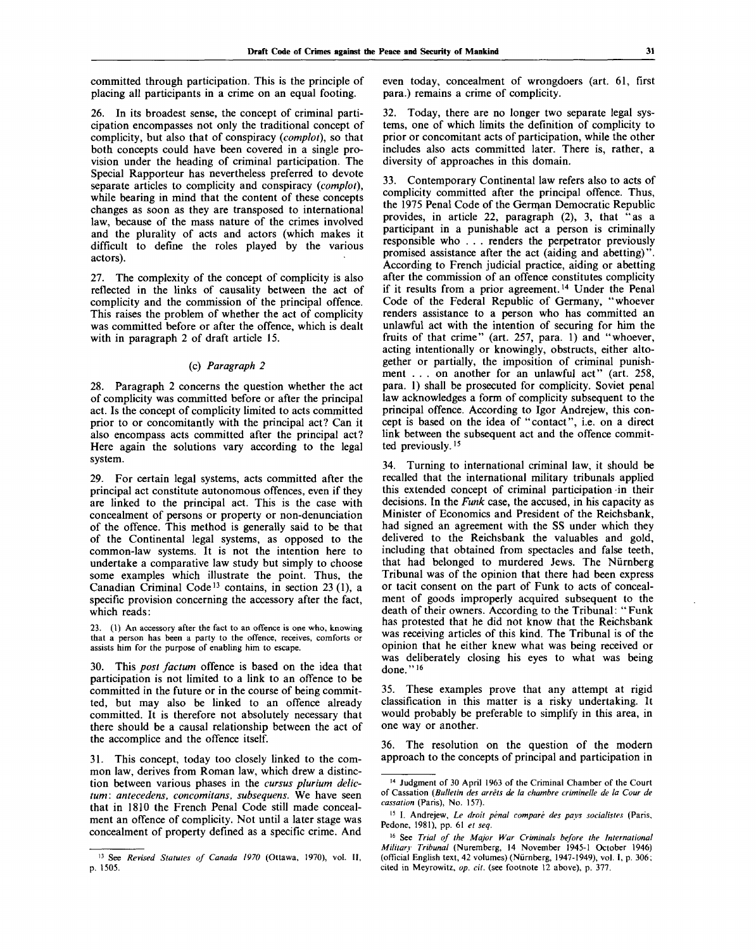committed through participation. This is the principle of placing all participants in a crime on an equal footing.

26. In its broadest sense, the concept of criminal participation encompasses not only the traditional concept of complicity, but also that of conspiracy *(complot),* so that both concepts could have been covered in a single provision under the heading of criminal participation. The Special Rapporteur has nevertheless preferred to devote separate articles to complicity and conspiracy *{complot),* while bearing in mind that the content of these concepts changes as soon as they are transposed to international law, because of the mass nature of the crimes involved and the plurality of acts and actors (which makes it difficult to define the roles played by the various actors).

27. The complexity of the concept of complicity is also reflected in the links of causality between the act of complicity and the commission of the principal offence. This raises the problem of whether the act of complicity was committed before or after the offence, which is dealt with in paragraph 2 of draft article 15.

# (c) *Paragraph 2*

28. Paragraph 2 concerns the question whether the act of complicity was committed before or after the principal act. Is the concept of complicity limited to acts committed prior to or concomitantly with the principal act? Can it also encompass acts committed after the principal act? Here again the solutions vary according to the legal system.

29. For certain legal systems, acts committed after the principal act constitute autonomous offences, even if they are linked to the principal act. This is the case with concealment of persons or property or non-denunciation of the offence. This method is generally said to be that of the Continental legal systems, as opposed to the common-law systems. It is not the intention here to undertake a comparative law study but simply to choose some examples which illustrate the point. Thus, the Canadian Criminal Code<sup>13</sup> contains, in section 23 (1), a specific provision concerning the accessory after the fact, which reads:

(1) An accessory after the fact to an offence is one who, knowing that a person has been a party to the offence, receives, comforts or assists him for the purpose of enabling him to escape.

30. This *post factum* offence is based on the idea that participation is not limited to a link to an offence to be committed in the future or in the course of being committed, but may also be linked to an offence already committed. It is therefore not absolutely necessary that there should be a causal relationship between the act of the accomplice and the offence itself.

31. This concept, today too closely linked to the common law, derives from Roman law, which drew a distinction between various phases in the *cursus pluriwn delictum: antecedens, concomitans, subsequens.* We have seen that in 1810 the French Penal Code still made concealment an offence of complicity. Not until a later stage was concealment of property defined as a specific crime. And

even today, concealment of wrongdoers (art. 61, first para.) remains a crime of complicity.

32. Today, there are no longer two separate legal systems, one of which limits the definition of complicity to prior or concomitant acts of participation, while the other includes also acts committed later. There is, rather, a diversity of approaches in this domain.

33. Contemporary Continental law refers also to acts of complicity committed after the principal offence. Thus, the 1975 Penal Code of the German Democratic Republic provides, in article 22, paragraph (2), 3, that "as a participant in a punishable act a person is criminally responsible who . . . renders the perpetrator previously promised assistance after the act (aiding and abetting)". According to French judicial practice, aiding or abetting after the commission of an offence constitutes complicity if it results from a prior agreement.<sup>14</sup> Under the Penal Code of the Federal Republic of Germany, "whoever renders assistance to a person who has committed an unlawful act with the intention of securing for him the fruits of that crime" (art. 257, para. 1) and "whoever, acting intentionally or knowingly, obstructs, either altogether or partially, the imposition of criminal punishment . . . on another for an unlawful act" (art. 258, para. 1) shall be prosecuted for complicity. Soviet penal law acknowledges a form of complicity subsequent to the principal offence. According to Igor Andrejew, this concept is based on the idea of "contact", i.e. on a direct link between the subsequent act and the offence committed previously.<sup>15</sup>

34. Turning to international criminal law, it should be recalled that the international military tribunals applied this extended concept of criminal participation -in their decisions. In the *Funk* case, the accused, in his capacity as Minister of Economics and President of the Reichsbank, had signed an agreement with the SS under which they delivered to the Reichsbank the valuables and gold, including that obtained from spectacles and false teeth, that had belonged to murdered Jews. The Niirnberg Tribunal was of the opinion that there had been express or tacit consent on the part of Funk to acts of concealment of goods improperly acquired subsequent to the death of their owners. According to the Tribunal: " Funk has protested that he did not know that the Reichsbank was receiving articles of this kind. The Tribunal is of the opinion that he either knew what was being received or was deliberately closing his eyes to what was being done."<sup>16</sup>

35. These examples prove that any attempt at rigid classification in this matter is a risky undertaking. It would probably be preferable to simplify in this area, in one way or another.

36. The resolution on the question of the modern approach to the concepts of principal and participation in

<sup>13</sup> See *Revised Statutes of Canada 1970* (Ottawa, 1970), vol. II, p. 1505.

<sup>14</sup> Judgment of 30 April 1963 of the Criminal Chamber of the Court of Cassation *{Bulletin des arrets de la chambre criminelle de la Cour de cassation* (Paris), No. 157).

<sup>&</sup>lt;sup>15</sup> I. Andrejew, Le droit pénal comparé des pays socialistes (Paris, Pedone, 1981), pp. 61 *et seq.*

<sup>16</sup> See *Trial of the Major War Criminals before the International Military Tribunal* (Nuremberg, 14 November 1945-1 October 1946) (official English text, 42 volumes) (Niirnberg, 1947-1949), vol. I, p. 306; cited in Meyrowitz, *op. cit.* (see footnote 12 above), p. 377.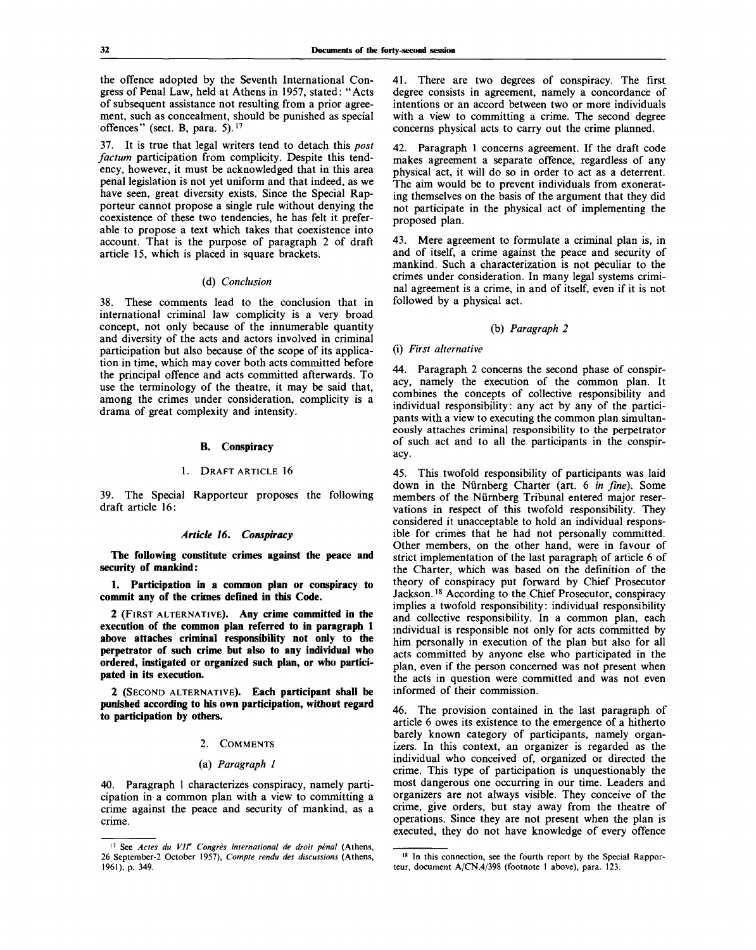the offence adopted by the Seventh International Congress of Penal Law, held at Athens in 1957, stated: "Acts of subsequent assistance not resulting from a prior agreement, such as concealment, should be punished as special offences" (sect. B, para. 5).<sup>17</sup>

37. It is true that legal writers tend to detach this *post factum* participation from complicity. Despite this tendency, however, it must be acknowledged that in this area penal legislation is not yet uniform and that indeed, as we have seen, great diversity exists. Since the Special Rapporteur cannot propose a single rule without denying the coexistence of these two tendencies, he has felt it preferable to propose a text which takes that coexistence into account. That is the purpose of paragraph 2 of draft article 15, which is placed in square brackets.

## (d) *Conclusion*

38. These comments lead to the conclusion that in international criminal law complicity is a very broad concept, not only because of the innumerable quantity and diversity of the acts and actors involved in criminal participation but also because of the scope of its application in time, which may cover both acts committed before the principal offence and acts committed afterwards. To use the terminology of the theatre, it may be said that, among the crimes under consideration, complicity is a drama of great complexity and intensity.

## **B. Conspiracy**

#### 1. DRAFT ARTICLE 16

39. The Special Rapporteur proposes the following draft article 16:

#### *Article 16. Conspiracy*

**The following constitute crimes against the peace and security of mankind:**

**1. Participation in a common plan or conspiracy to commit any of the crimes defined in this Code.**

**2** (FIRST ALTERNATIVE). **Any crime committed in the execution of the common plan referred to in paragraph 1 above attaches criminal responsibility not only to the perpetrator of such crime but also to any individual who ordered, instigated or organized such plan, or who participated in its execution.**

**2** (SECOND ALTERNATIVE). **Each participant shall be punished according to his own participation, without regard to participation by others.**

#### 2. COMMENTS

#### (a) *Paragraph 1*

40. Paragraph 1 characterizes conspiracy, namely participation in a common plan with a view to committing a crime against the peace and security of mankind, as a crime.

41. There are two degrees of conspiracy. The first degree consists in agreement, namely a concordance of intentions or an accord between two or more individuals with a view to committing a crime. The second degree concerns physical acts to carry out the crime planned.

42. Paragraph 1 concerns agreement. If the draft code makes agreement a separate offence, regardless of any physical act, it will do so in order to act as a deterrent. The aim would be to prevent individuals from exonerating themselves on the basis of the argument that they did not participate in the physical act of implementing the proposed plan.

43. Mere agreement to formulate a criminal plan is, in and of itself, a crime against the peace and security of mankind. Such a characterization is not peculiar to the crimes under consideration. In many legal systems criminal agreement is a crime, in and of itself, even if it is not followed by a physical act.

## (b) *Paragraph 2*

## (i) *First alternative*

44. Paragraph 2 concerns the second phase of conspiracy, namely the execution of the common plan. It combines the concepts of collective responsibility and individual responsibility: any act by any of the participants with a view to executing the common plan simultaneously attaches criminal responsibility to the perpetrator of such act and to all the participants in the conspiracy.

45. This twofold responsibility of participants was laid down in the Niirnberg Charter (art. 6 *in fine).* Some members of the Nürnberg Tribunal entered major reservations in respect of this twofold responsibility. They considered it unacceptable to hold an individual responsible for crimes that he had not personally committed. Other members, on the other hand, were in favour of strict implementation of the last paragraph of article 6 of the Charter, which was based on the definition of the theory of conspiracy put forward by Chief Prosecutor Jackson.<sup>18</sup> According to the Chief Prosecutor, conspiracy implies a twofold responsibility: individual responsibility and collective responsibility. In a common plan, each individual is responsible not only for acts committed by him personally in execution of the plan but also for all acts committed by anyone else who participated in the plan, even if the person concerned was not present when the acts in question were committed and was not even informed of their commission.

46. The provision contained in the last paragraph of article 6 owes its existence to the emergence of a hitherto barely known category of participants, namely organizers. In this context, an organizer is regarded as the individual who conceived of, organized or directed the crime. This type of participation is unquestionably the most dangerous one occurring in our time. Leaders and organizers are not always visible. They conceive of the crime, give orders, but stay away from the theatre of operations. Since they are not present when the plan is executed, they do not have knowledge of every offence

<sup>&</sup>lt;sup>17</sup> See Actes du VII<sup>e</sup> Congrès international de droit pénal (Athens, 26 September-2 October 1957), *Compte rendu des discussions* (Athens, 1961), p. 349.

<sup>&</sup>lt;sup>18</sup> In this connection, see the fourth report by the Special Rapporteur, document A/CN.4/398 (footnote 1 above), para. 123.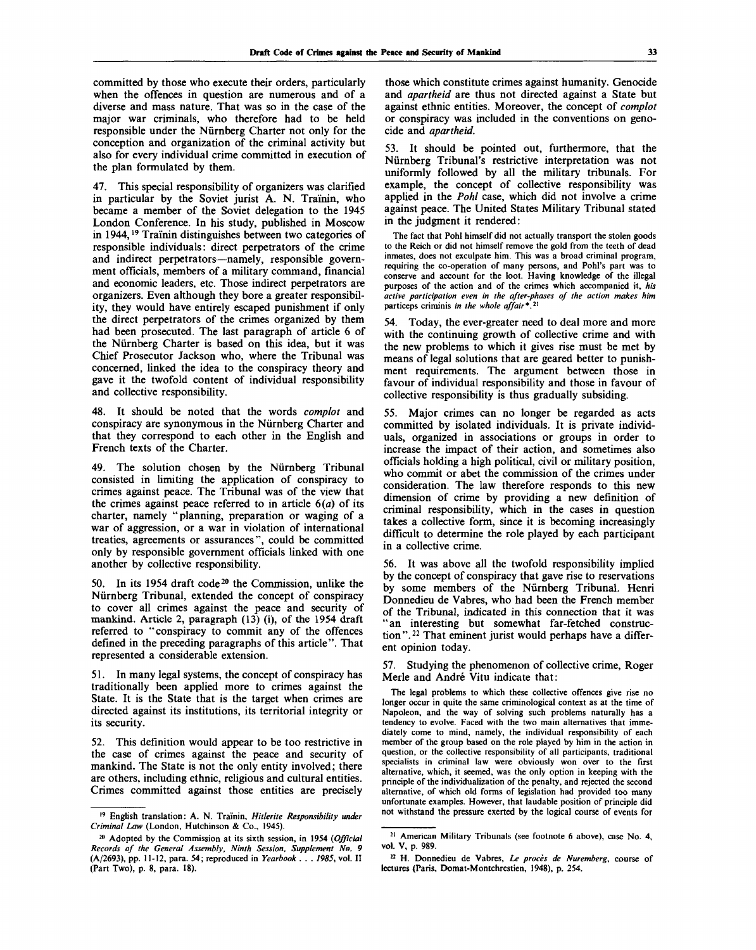committed by those who execute their orders, particularly when the offences in question are numerous and of a diverse and mass nature. That was so in the case of the major war criminals, who therefore had to be held responsible under the Niirnberg Charter not only for the conception and organization of the criminal activity but also for every individual crime committed in execution of the plan formulated by them.

47. This special responsibility of organizers was clarified in particular by the Soviet jurist A. N. Trainin, who became a member of the Soviet delegation to the 1945 London Conference. In his study, published in Moscow in 1944,<sup>19</sup> Traïnin distinguishes between two categories of responsible individuals: direct perpetrators of the crime and indirect perpetrators—namely, responsible government officials, members of a military command, financial and economic leaders, etc. Those indirect perpetrators are organizers. Even although they bore a greater responsibility, they would have entirely escaped punishment if only the direct perpetrators of the crimes organized by them had been prosecuted. The last paragraph of article 6 of the Nurnberg Charter is based on this idea, but it was Chief Prosecutor Jackson who, where the Tribunal was concerned, linked the idea to the conspiracy theory and gave it the twofold content of individual responsibility and collective responsibility.

48. It should be noted that the words *complot* and conspiracy are synonymous in the Nurnberg Charter and that they correspond to each other in the English and French texts of the Charter.

49. The solution chosen by the Nurnberg Tribunal consisted in limiting the application of conspiracy to crimes against peace. The Tribunal was of the view that the crimes against peace referred to in article  $6(a)$  of its charter, namely "planning, preparation or waging of a war of aggression, or a war in violation of international treaties, agreements or assurances", could be committed only by responsible government officials linked with one another by collective responsibility.

50. In its 1954 draft code<sup>20</sup> the Commission, unlike the Nurnberg Tribunal, extended the concept of conspiracy to cover all crimes against the peace and security of mankind. Article 2, paragraph (13) (i), of the 1954 draft referred to "conspiracy to commit any of the offences defined in the preceding paragraphs of this article". That represented a considerable extension.

51. In many legal systems, the concept of conspiracy has traditionally been applied more to crimes against the State. It is the State that is the target when crimes are directed against its institutions, its territorial integrity or its security.

52. This definition would appear to be too restrictive in the case of crimes against the peace and security of mankind. The State is not the only entity involved; there are others, including ethnic, religious and cultural entities. Crimes committed against those entities are precisely

those which constitute crimes against humanity. Genocide and *apartheid* are thus not directed against a State but against ethnic entities. Moreover, the concept of *complot* or conspiracy was included in the conventions on genocide and *apartheid.*

53. It should be pointed out, furthermore, that the Nurnberg Tribunal's restrictive interpretation was not uniformly followed by all the military tribunals. For example, the concept of collective responsibility was applied in the *Pohl* case, which did not involve a crime against peace. The United States Military Tribunal stated in the judgment it rendered:

The fact that Pohl himself did not actually transport the stolen goods to the Reich or did not himself remove the gold from the teeth of dead inmates, does not exculpate him. This was a broad criminal program, requiring the co-operation of many persons, and Pohl's part was to conserve and account for the loot. Having knowledge of the illegal purposes of the action and of the crimes which accompanied it, *his active participation even in the after-phases of the action makes him* particeps criminis *in the whole affair\*.<sup>1</sup> ^*

54. Today, the ever-greater need to deal more and more with the continuing growth of collective crime and with the new problems to which it gives rise must be met by means of legal solutions that are geared better to punishment requirements. The argument between those in favour of individual responsibility and those in favour of collective responsibility is thus gradually subsiding.

55. Major crimes can no longer be regarded as acts committed by isolated individuals. It is private individuals, organized in associations or groups in order to increase the impact of their action, and sometimes also officials holding a high political, civil or military position, who commit or abet the commission of the crimes under consideration. The law therefore responds to this new dimension of crime by providing a new definition of criminal responsibility, which in the cases in question takes a collective form, since it is becoming increasingly difficult to determine the role played by each participant in a collective crime.

56. It was above all the twofold responsibility implied by the concept of conspiracy that gave rise to reservations by some members of the Nurnberg Tribunal. Henri Donnedieu de Vabres, who had been the French member of the Tribunal, indicated in this connection that it was "an interesting but somewhat far-fetched construction".<sup>22</sup> That eminent jurist would perhaps have a different opinion today.

57. Studying the phenomenon of collective crime, Roger Merle and Andre Vitu indicate that:

The legal problems to which these collective offences give rise no longer occur in quite the same criminological context as at the time of Napoleon, and the way of solving such problems naturally has a tendency to evolve. Faced with the two main alternatives that immediately come to mind, namely, the individual responsibility of each member of the group based on the role played by him in the action in question, or the collective responsibility of all participants, traditional specialists in criminal law were obviously won over to the first alternative, which, it seemed, was the only option in keeping with the principle of the individualization of the penalty, and rejected the second alternative, of which old forms of legislation had provided too many unfortunate examples. However, that laudable position of principle did not withstand the pressure exerted by the logical course of events for

<sup>19</sup> English translation: A. N. Trainin, *Hitlerite Responsibility under Criminal Law* (London, Hutchinson & Co., 1945).

<sup>20</sup> Adopted by the Commission at its sixth session, in 1954 *(Official Records of the General Assembly, Ninth Session, Supplement No. 9* (A/2693), pp. 11-12, para. 54; reproduced in *Yearbook . . . 1985,* vol. II (Part Two), p. 8, para. 18).

<sup>21</sup> American Military Tribunals (see footnote 6 above), case No. 4, vol. V, p. 989.

<sup>22</sup> H. Donnedieu de Vabres, *Le proces de Nuremberg,* course of lectures (Paris, Domat-Montchrestien, 1948), p. 254.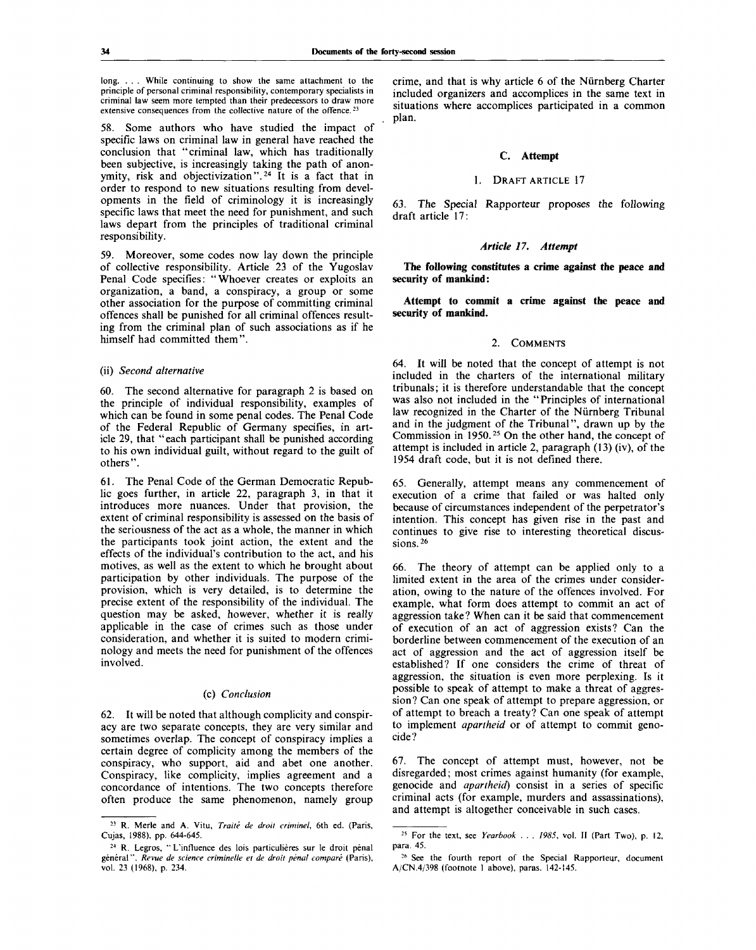long. . . . While continuing to show the same attachment to the principle of personal criminal responsibility, contemporary specialists in criminal law seem more tempted than their predecessors to draw more extensive consequences from the collective nature of the offence.<sup>23</sup>

58. Some authors who have studied the impact of specific laws on criminal law in general have reached the conclusion that "criminal law, which has traditionally been subjective, is increasingly taking the path of anonymity, risk and objectivization".<sup>24</sup> It is a fact that in order to respond to new situations resulting from developments in the field of criminology it is increasingly specific laws that meet the need for punishment, and such laws depart from the principles of traditional criminal responsibility.

59. Moreover, some codes now lay down the principle of collective responsibility. Article 23 of the Yugoslav Penal Code specifies: "Whoever creates or exploits an organization, a band, a conspiracy, a group or some other association for the purpose of committing criminal offences shall be punished for all criminal offences resulting from the criminal plan of such associations as if he himself had committed them".

## (ii) *Second alternative*

60. The second alternative for paragraph 2 is based on the principle of individual responsibility, examples of which can be found in some penal codes. The Penal Code of the Federal Republic of Germany specifies, in article 29, that "each participant shall be punished according to his own individual guilt, without regard to the guilt of others".

61. The Penal Code of the German Democratic Republic goes further, in article 22, paragraph 3, in that it introduces more nuances. Under that provision, the extent of criminal responsibility is assessed on the basis of the seriousness of the act as a whole, the manner in which the participants took joint action, the extent and the effects of the individual's contribution to the act, and his motives, as well as the extent to which he brought about participation by other individuals. The purpose of the provision, which is very detailed, is to determine the precise extent of the responsibility of the individual. The question may be asked, however, whether it is really applicable in the case of crimes such as those under consideration, and whether it is suited to modern criminology and meets the need for punishment of the offences involved.

#### (c) *Conclusion*

62. It will be noted that although complicity and conspiracy are two separate concepts, they are very similar and sometimes overlap. The concept of conspiracy implies a certain degree of complicity among the members of the conspiracy, who support, aid and abet one another. Conspiracy, like complicity, implies agreement and a concordance of intentions. The two concepts therefore often produce the same phenomenon, namely group

crime, and that is why article 6 of the Nurnberg Charter included organizers and accomplices in the same text in situations where accomplices participated in a common plan.

# C. **Attempt**

#### 1. DRAFT ARTICLE 17

63. The Special Rapporteur proposes the following draft article 17:

## *Article 17. Attempt*

**The following constitutes a crime against the peace and security of mankind:**

**Attempt to commit a crime against the peace and security of mankind.**

#### 2. COMMENTS

64. It will be noted that the concept of attempt is not included in the charters of the international military tribunals; it is therefore understandable that the concept was also not included in the "Principles of international law recognized in the Charter of the Nurnberg Tribunal and in the judgment of the Tribunal", drawn up by the Commission in 1950.<sup>25</sup> On the other hand, the concept of attempt is included in article 2, paragraph (13) (iv), of the 1954 draft code, but it is not defined there.

65. Generally, attempt means any commencement of execution of a crime that failed or was halted only because of circumstances independent of the perpetrator's intention. This concept has given rise in the past and continues to give rise to interesting theoretical discussions.<sup>26</sup>

66. The theory of attempt can be applied only to a limited extent in the area of the crimes under consideration, owing to the nature of the offences involved. For example, what form does attempt to commit an act of aggression take? When can it be said that commencement of execution of an act of aggression exists? Can the borderline between commencement of the execution of an act of aggression and the act of aggression itself be established? If one considers the crime of threat of aggression, the situation is even more perplexing. Is it possible to speak of attempt to make a threat of aggression? Can one speak of attempt to prepare aggression, or of attempt to breach a treaty? Can one speak of attempt to implement *apartheid* or of attempt to commit genocide?

67. The concept of attempt must, however, not be disregarded; most crimes against humanity (for example, genocide and *apartheid)* consist in a series of specific criminal acts (for example, murders and assassinations), and attempt is altogether conceivable in such cases.

<sup>23</sup> R. Merle and A. Vitu, *Traite de droit criminel,* 6th ed. (Paris, Cujas, 1988), pp. 644-645.

<sup>&</sup>lt;sup>24</sup> R. Legros, "L'influence des lois particulières sur le droit pénal général". Revue de science criminelle et de droit pénal comparé (Paris), vol. 23 (1968), p. 234.

<sup>25</sup> For the text, see *Yearbook . . . 1985,* vol. II (Part Two), p. 12, para. 45.

<sup>&</sup>lt;sup>26</sup> See the fourth report of the Special Rapporteur, document A/CN.4/398 (footnote 1 above), paras. 142-145.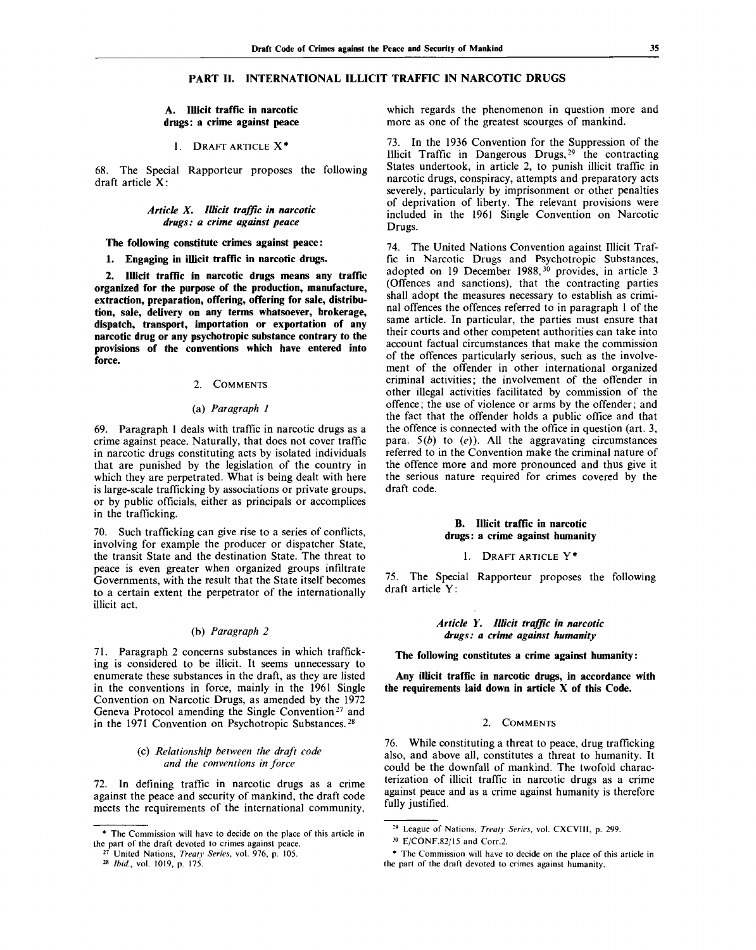# **PART II. INTERNATIONAL ILLICIT TRAFFIC IN NARCOTIC DRUGS**

# **A. Illicit traffic in narcotic drugs: a crime against peace**

# **1.** DRAFT ARTICLE X\*

68. The Special Rapporteur proposes the following draft article  $X$ :

# *Article X. Illicit traffic in narcotic drugs: a crime against peace*

**The following constitute crimes against peace:**

**1. Engaging in illicit traffic in narcotic drugs.**

**2. Illicit traffic in narcotic drugs means any traffic organized for the purpose of the production, manufacture, extraction, preparation, offering, offering for sale, distribution, sale, delivery on any terms whatsoever, brokerage, dispatch, transport, importation or exportation of any narcotic drug or any psychotropic substance contrary to the provisions of the conventions which have entered into force.**

## 2. COMMENTS

#### (a) *Paragraph 1*

69. Paragraph 1 deals with traffic in narcotic drugs as a crime against peace. Naturally, that does not cover traffic in narcotic drugs constituting acts by isolated individuals that are punished by the legislation of the country in which they are perpetrated. What is being dealt with here is large-scale trafficking by associations or private groups, or by public officials, either as principals or accomplices in the trafficking.

70. Such trafficking can give rise to a series of conflicts, involving for example the producer or dispatcher State, the transit State and the destination State. The threat to peace is even greater when organized groups infiltrate Governments, with the result that the State itself becomes to a certain extent the perpetrator of the internationally illicit act.

# (b) *Paragraph 2*

71. Paragraph 2 concerns substances in which trafficking is considered to be illicit. It seems unnecessary to enumerate these substances in the draft, as they are listed in the conventions in force, mainly in the 1961 Single Convention on Narcotic Drugs, as amended by the 1972 Geneva Protocol amending the Single Convention<sup>27</sup> and in the 1971 Convention on Psychotropic Substances.<sup>28</sup>

# (c) *Relationship between the draft code and the conventions in force*

72. In defining traffic in narcotic drugs as a crime against the peace and security of mankind, the draft code meets the requirements of the international community,

28  *Ibid.,* vol. 1019, p. 175.

which regards the phenomenon in question more and more as one of the greatest scourges of mankind.

73. In the 1936 Convention for the Suppression of the Illicit Traffic in Dangerous Drugs,<sup>29</sup> the contracting States undertook, in article 2, to punish illicit traffic in narcotic drugs, conspiracy, attempts and preparatory acts severely, particularly by imprisonment or other penalties of deprivation of liberty. The relevant provisions were included in the 1961 Single Convention on Narcotic Drugs.

74. The United Nations Convention against Illicit Traffic in Narcotic Drugs and Psychotropic Substances, adopted on 19 December 1988,<sup>30</sup> provides, in article 3 (Offences and sanctions), that the contracting parties shall adopt the measures necessary to establish as criminal offences the offences referred to in paragraph 1 of the same article. In particular, the parties must ensure that their courts and other competent authorities can take into account factual circumstances that make the commission of the offences particularly serious, such as the involvement of the offender in other international organized criminal activities; the involvement of the offender in other illegal activities facilitated by commission of the offence; the use of violence or arms by the offender; and the fact that the offender holds a public office and that the offence is connected with the office in question (art. 3, para. *5(b)* to *(e)).* All the aggravating circumstances referred to in the Convention make the criminal nature of the offence more and more pronounced and thus give it the serious nature required for crimes covered by the draft code.

# **B. Illicit traffic in narcotic drugs: a crime against humanity**

# 1. DRAFT ARTICLE Y\*

75. The Special Rapporteur proposes the following draft article Y:

# *Article Y. Illicit traffic in narcotic drugs: a crime against humanity*

**The following constitutes a crime against humanity:**

**Any illicit traffic in narcotic drugs, in accordance with the requirements laid down in article X of this Code.**

## 2. COMMENTS

76. While constituting a threat to peace, drug trafficking also, and above all, constitutes a threat to humanity. It could be the downfall of mankind. The twofold characterization of illicit traffic in narcotic drugs as a crime against peace and as a crime against humanity is therefore fully justified.

<sup>\*</sup> The Commission will have to decide on the place of this article in the part of the draft devoted to crimes against peace.

<sup>27</sup> United Nations, *Treaty Series,* vol. 976, p. 105.

<sup>29</sup> League of Nations, *Treaty Series,* vol. CXCVIII, p. 299.

*<sup>}0</sup>* E/CONF.82/15 and Corr.2.

<sup>\*</sup> The Commission will have to decide on the place of this article in the part of the draft devoted to crimes against humanity.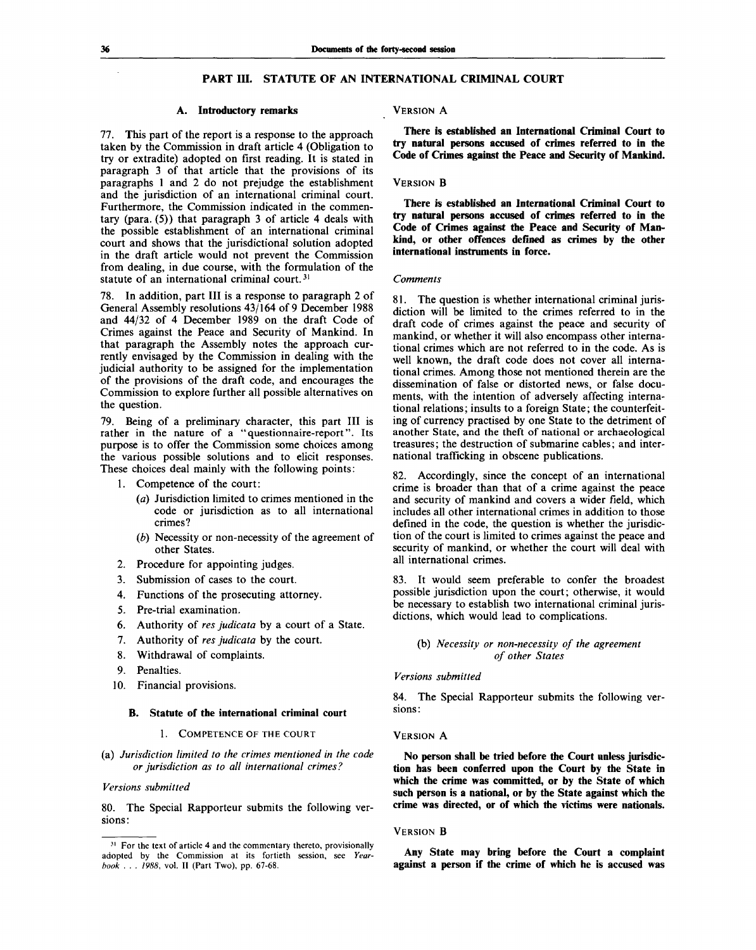# PART III. STATUTE OF AN INTERNATIONAL CRIMINAL COURT

## **A. Introductory remarks**

77. This part of the report is a response to the approach taken by the Commission in draft article 4 (Obligation to try or extradite) adopted on first reading. It is stated in paragraph 3 of that article that the provisions of its paragraphs 1 and 2 do not prejudge the establishment and the jurisdiction of an international criminal court. Furthermore, the Commission indicated in the commentary (para. (5)) that paragraph 3 of article 4 deals with the possible establishment of an international criminal court and shows that the jurisdictional solution adopted in the draft article would not prevent the Commission from dealing, in due course, with the formulation of the statute of an international criminal court.<sup>31</sup>

78. In addition, part **III** is a response to paragraph 2 of General Assembly resolutions 43/164 of 9 December 1988 and 44/32 of 4 December 1989 on the draft Code of Crimes against the Peace and Security of Mankind. In that paragraph the Assembly notes the approach currently envisaged by the Commission in dealing with the judicial authority to be assigned for the implementation of the provisions of the draft code, and encourages the Commission to explore further all possible alternatives on the question.

79. Being of a preliminary character, this part **III** is rather in the nature of a "questionnaire-report". Its purpose is to offer the Commission some choices among the various possible solutions and to elicit responses. These choices deal mainly with the following points:

- 1. Competence of the court:
	- *(a)* Jurisdiction limited to crimes mentioned in the code or jurisdiction as to all international crimes?
	- *(b)* Necessity or non-necessity of the agreement of other States.
- 2. Procedure for appointing judges.
- 3. Submission of cases to the court.
- 4. Functions of the prosecuting attorney.
- 5. Pre-trial examination.
- 6. Authority of *res judicata* by a court of a State.
- 7. Authority of *res judicata* by the court.
- 8. Withdrawal of complaints.
- 9. Penalties.
- 10. Financial provisions.

#### **B. Statute of the international criminal court**

#### 1. COMPETENCE OF THE COURT

(a) *Jurisdiction limited to the crimes mentioned in the code or jurisdiction as to all international crimes?*

## *Versions submitted*

80. The Special Rapporteur submits the following versions:

#### VERSION A

**There is established an International Criminal Court to try natural persons accused of crimes referred to in the Code of Crimes against the Peace and Security of Mankind.**

#### VERSION **B**

**There is established an International Criminal Court to try natural persons accused of crimes referred to in the Code of Crimes against the Peace and Security of Mankind, or other offences defined as crimes by the other international instruments in force.**

#### *Comments*

81. The question is whether international criminal jurisdiction will be limited to the crimes referred to in the draft code of crimes against the peace and security of mankind, or whether it will also encompass other international crimes which are not referred to in the code. As is well known, the draft code does not cover all international crimes. Among those not mentioned therein are the dissemination of false or distorted news, or false documents, with the intention of adversely affecting international relations; insults to a foreign State; the counterfeiting of currency practised by one State to the detriment of another State, and the theft of national or archaeological treasures; the destruction of submarine cables; and international trafficking in obscene publications.

82. Accordingly, since the concept of an international crime is broader than that of a crime against the peace and security of mankind and covers a wider field, which includes all other international crimes in addition to those defined in the code, the question is whether the jurisdiction of the court is limited to crimes against the peace and security of mankind, or whether the court will deal with all international crimes.

83. It would seem preferable to confer the broadest possible jurisdiction upon the court; otherwise, it would be necessary to establish two international criminal jurisdictions, which would lead to complications.

# (b) *Necessity or non-necessity of the agreement of other States*

# *Versions submitted*

84. The Special Rapporteur submits the following versions:

#### VERSION A

**No person shall be tried before the Court unless jurisdiction has been conferred upon the Court by the State in which the crime was committed, or by the State of which such person is a national, or by the State against which the crime was directed, or of which the victims were nationals.**

## VERSION B

**Any State may bring before the Court a complaint against a person if the crime of which he is accused was**

<sup>&</sup>lt;sup>31</sup> For the text of article 4 and the commentary thereto, provisionally adopted by the Commission at its fortieth session, see *Yearbook . . . 1988,* vol. II (Part Two), pp. 67-68.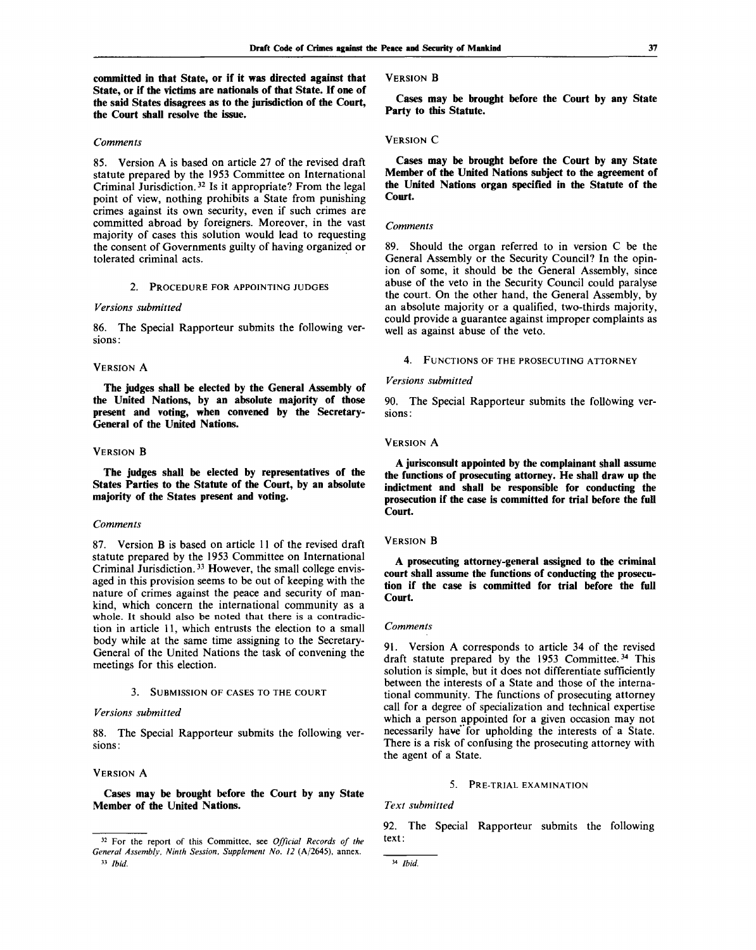**committed in that State, or if it was directed against that State, or if the victims are nationals of that State. If one of the said States disagrees as to the jurisdiction of the Court, the Court shall resolve the issue.**

## *Comments*

85. Version A is based on article 27 of the revised draft statute prepared by the 1953 Committee on International Criminal Jurisdiction.<sup>32</sup> Is it appropriate? From the legal point of view, nothing prohibits a State from punishing crimes against its own security, even if such crimes are committed abroad by foreigners. Moreover, in the vast majority of cases this solution would lead to requesting the consent of Governments guilty of having organized or tolerated criminal acts.

#### 2. PROCEDURE FOR APPOINTING JUDGES

## *Versions submitted*

86. The Special Rapporteur submits the following versions:

## VERSION A

**The judges shall be elected by the General Assembly of the United Nations, by an absolute majority of those present and voting, when convened by the Secretary-General of the United Nations.**

# VERSION **B**

**The judges shall be elected by representatives of the States Parties to the Statute of the Court, by an absolute majority of the States present and voting.**

#### *Comments*

87. Version B is based on article 11 of the revised draft statute prepared by the 1953 Committee on International Criminal Jurisdiction.<sup>33</sup> However, the small college envisaged in this provision seems to be out of keeping with the nature of crimes against the peace and security of mankind, which concern the international community as a whole. It should also be noted that there is a contradiction in article 11, which entrusts the election to a small body while at the same time assigning to the Secretary-General of the United Nations the task of convening the meetings for this election.

## 3. SUBMISSION OF CASES TO THE COURT

## *Versions submitted*

88. The Special Rapporteur submits the following versions :

### VERSION A

**Cases may be brought before the Court by any State Member of the United Nations.**

#### **VERSION B**

**Cases may be brought before the Court by any State Party to this Statute.**

#### VERSION C

**Cases may be brought before the Court by any State Member of the United Nations subject to the agreement of the United Nations organ specified in the Statute of the Court.**

## *Comments*

89. Should the organ referred to in version C be the General Assembly or the Security Council? In the opinion of some, it should be the General Assembly, since abuse of the veto in the Security Council could paralyse the court. On the other hand, the General Assembly, by an absolute majority or a qualified, two-thirds majority, could provide a guarantee against improper complaints as well as against abuse of the veto.

# 4. FUNCTIONS OF THE PROSECUTING ATTORNEY

### *Versions submitted*

90. The Special Rapporteur submits the following versions :

# VERSION A

**A jurisconsult appointed by the complainant shall assume the functions of prosecuting attorney. He shall draw up the indictment and shall be responsible for conducting the prosecution if the case is committed for trial before the full Court.**

#### VERSION **B**

**A prosecuting attorney-general assigned to the criminal court shall assume the functions of conducting the prosecution if the case is committed for trial before the full Court.**

#### *Comments*

91. Version A corresponds to article 34 of the revised draft statute prepared by the 1953 Committee.<sup>34</sup> This solution is simple, but it does not differentiate sufficiently between the interests of a State and those of the international community. The functions of prosecuting attorney call for a degree of specialization and technical expertise which a person appointed for a given occasion may not necessarily have' for upholding the interests of a State. There is a risk of confusing the prosecuting attorney with the agent of a State.

#### 5. PRE-TRIAL EXAMINATION

## *Text submitted*

92. The Special Rapporteur submits the following text:

<sup>32</sup> For the report of this Committee, see *Official Records of the General Assembly, Ninth Session, Supplement No. 12* (A/2645), annex. 33  *Ibid.*

<sup>34</sup>  *Ibid.*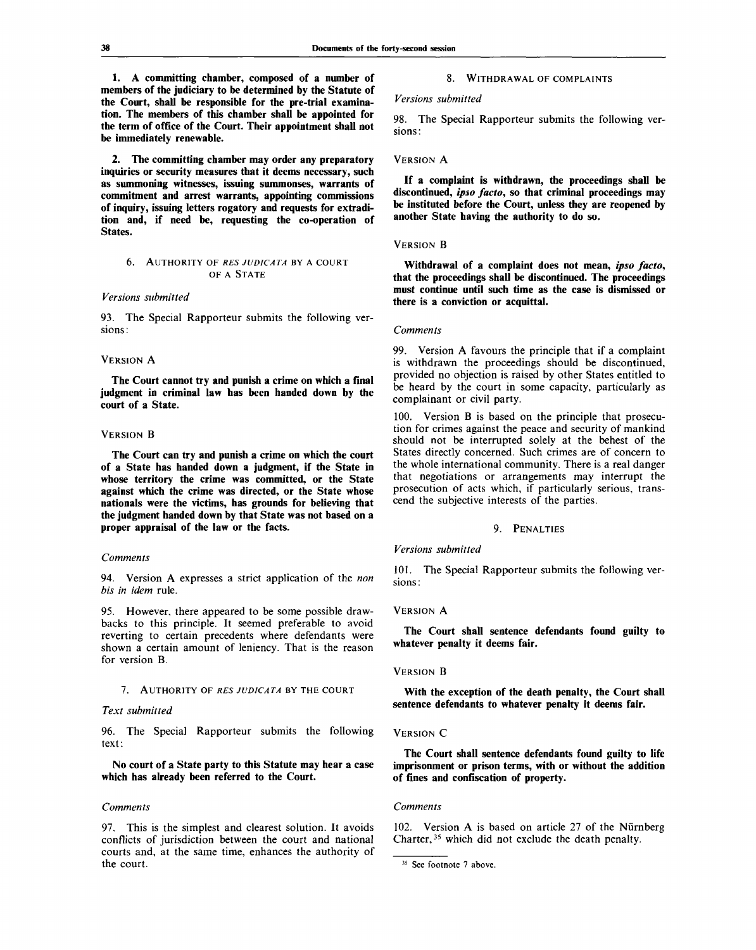**1. A committing chamber, composed of a number of members of the judiciary to be determined by the Statute of the Court, shall be responsible for the pre-trial examination. The members of this chamber shall be appointed for the term of office of the Court. Their appointment shall not be immediately renewable.**

**2. The committing chamber may order any preparatory inquiries or security measures that it deems necessary, such as summoning witnesses, issuing summonses, warrants of commitment and arrest warrants, appointing commissions of inquiry, issuing letters rogatory and requests for extradition and, if need be, requesting the co-operation of States.**

#### 6. AUTHORITY OF *RES JUDICATA* BY A COURT OF A STATE

#### *Versions submitted*

93. The Special Rapporteur submits the following versions:

# VERSION A

**The Court cannot try and punish a crime on which a final judgment in criminal law has been handed down by the court of a State.**

# VERSION **B**

**The Court can try and punish a crime on which the court of a State has handed down a judgment, if the State in whose territory the crime was committed, or the State against which the crime was directed, or the State whose nationals were the victims, has grounds for believing that the judgment handed down by that State was not based on a proper appraisal of the law or the facts.**

#### *Comments*

94. Version A expresses a strict application of the *non bis in idem* rule.

95. However, there appeared to be some possible drawbacks to this principle. It seemed preferable to avoid reverting to certain precedents where defendants were shown a certain amount of leniency. That is the reason for version B.

#### 7. AUTHORITY OF *RES JUDICATA* BY THE COURT

# *Text submitted*

96. The Special Rapporteur submits the following text:

No **court of a State party to this Statute may hear a case which has already been referred to the Court.**

#### *Comments*

97. This is the simplest and clearest solution. It avoids conflicts of jurisdiction between the court and national courts and, at the same time, enhances the authority of the court.

# 8. WITHDRAWAL OF COMPLAINTS

#### *Versions submitted*

98. The Special Rapporteur submits the following versions:

## VERSION A

**If a complaint is withdrawn, the proceedings shall be discontinued,** *ipso facto,* **so that criminal proceedings may be instituted before the Court, unless they are reopened by another State having the authority to do so.**

## VERSION **B**

**Withdrawal of a complaint does not mean,** *ipso facto,* **that the proceedings shall be discontinued. The proceedings must continue until such time as the case is dismissed or there is a conviction or acquittal.**

#### *Comments*

99. Version A favours the principle that if a complaint is withdrawn the proceedings should be discontinued, provided no objection is raised by other States entitled to be heard by the court in some capacity, particularly as complainant or civil party.

100. Version B is based on the principle that prosecution for crimes against the peace and security of mankind should not be interrupted solely at the behest of the States directly concerned. Such crimes are of concern to the whole international community. There is a real danger that negotiations or arrangements may interrupt the prosecution of acts which, if particularly serious, transcend the subjective interests of the parties.

#### 9. PENALTIES

#### *Versions submitted*

101. The Special Rapporteur submits the following versions:

#### VERSION A

**The Court shall sentence defendants found guilty to whatever penalty it deems fair.**

#### VERSION **B**

**With the exception of the death penalty, the Court shall sentence defendants to whatever penalty it deems fair.**

# VERSION C

**The Court shall sentence defendants found guilty to life imprisonment or prison terms, with or without the addition of fines and confiscation of property.**

#### *Comments*

102. Version A is based on article 27 of the Nürnberg Charter,<sup>35</sup> which did not exclude the death penalty.

<sup>&</sup>lt;sup>35</sup> See footnote 7 above.